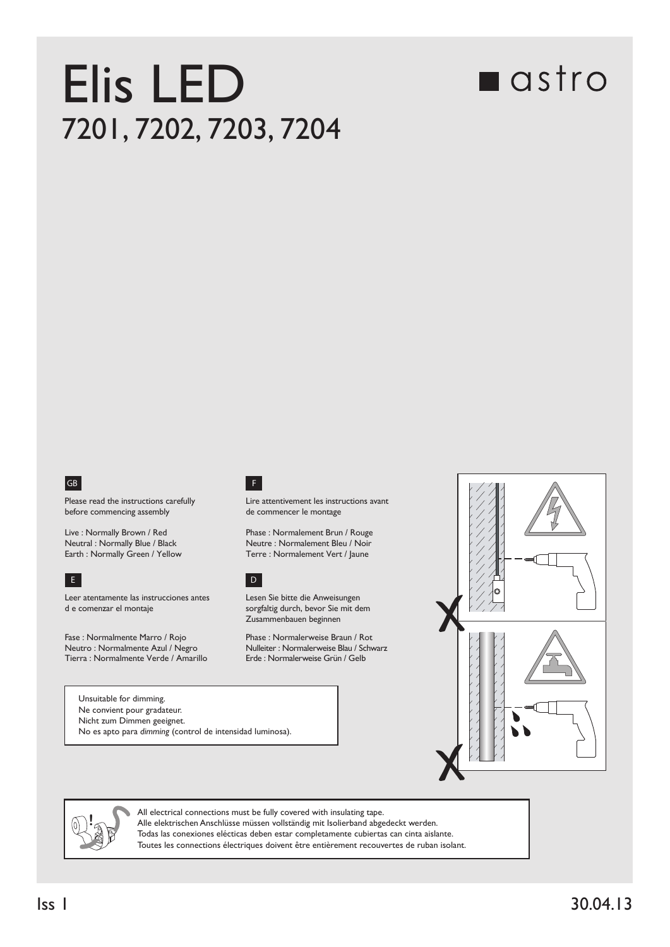## Elis LED 7201, 7202, 7203, 7204

## **n**astro



Please read the instructions carefully before commencing assembly

Live : Normally Brown / Red Neutral : Normally Blue / Black Earth : Normally Green / Yellow Terre : Normalement Vert / Jaune



Leer atentamente las instrucciones antes d e comenzar el montaje

Fase : Normalmente Marro / Rojo Neutro : Normalmente Azul / Negro Tierra : Normalmente Verde / Amarillo

Unsuitable for dimming.

## F

Lire attentivement les instructions avant de commencer le montage

Phase : Normalement Brun / Rouge Neutre : Normalement Bleu / Noir



Lesen Sie bitte die Anweisungen sorgfaltig durch, bevor Sie mit dem Zusammenbauen beginnen

Phase : Normalerweise Braun / Rot Nulleiter : Normalerweise Blau / Schwarz<br>Erde : Normalerweise Grün / Gelb



Ne convient pour gradateur. Nicht zum Dimmen geeignet. No es apto para *dimming* (control de intensidad luminosa).



All electrical connections must be fully covered with insulating tape. Alle elektrischen Anschlüsse müssen vollständig mit Isolierband abgedeckt werden. Todas las conexiones elécticas deben estar completamente cubiertas can cinta aislante. Toutes les connections électriques doivent être entièrement recouvertes de ruban isolant.